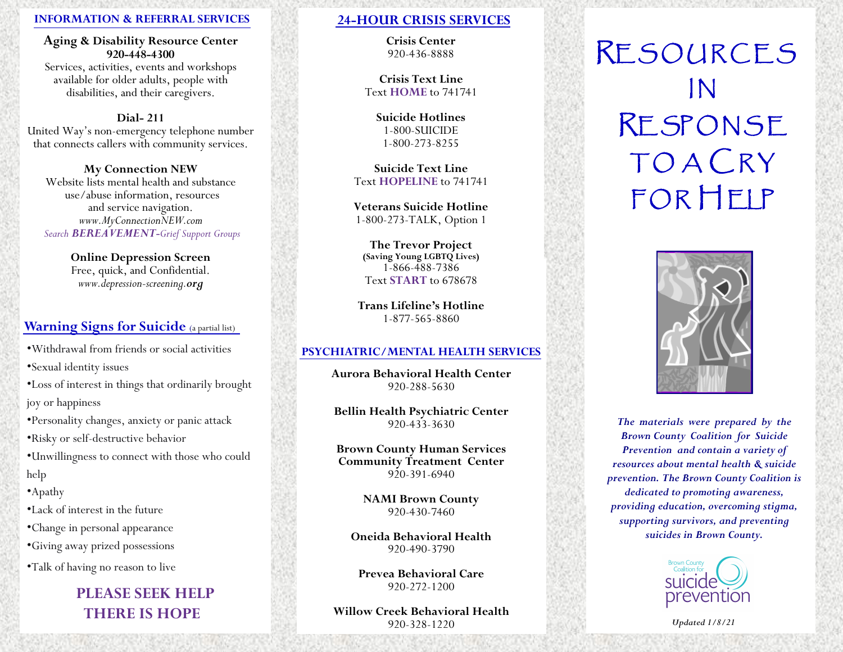#### **INFORMATION & REFERRAL SERVICES**

#### **Aging & Disability Resource Center 920-448-4300**

Services, activities, events and workshops available for older adults, people with disabilities, and their caregivers.

#### **Dial- 211**

United Way's non-emergency telephone number that connects callers with community services.

#### **My Connection NEW**

Website lists mental health and substance use/abuse information, resources and service navigation. *www.MyConnectionNEW.com Search BEREAVEMENT-Grief Support Groups* 

> **Online Depression Screen**  Free, quick, and Confidential. *www.depression-screening.org*

## **Warning Signs for Suicide** (a partial list)

•Withdrawal from friends or social activities

•Sexual identity issues

•Loss of interest in things that ordinarily brought joy or happiness

•Personality changes, anxiety or panic attack

•Risky or self-destructive behavior

- •Unwillingness to connect with those who could help
- •Apathy
- •Lack of interest in the future

•Change in personal appearance

•Giving away prized possessions

•Talk of having no reason to live

# **PLEASE SEEK HELP THERE IS HOPE**

## **24-HOUR CRISIS SERVICES**

**Crisis Center** 920-436-8888

**Crisis Text Line** Text **HOME** to 741741

> **Suicide Hotlines** 1-800-SUICIDE 1-800-273-8255

**Suicide Text Line** Text **HOPELINE** to 741741

**Veterans Suicide Hotline**  1-800-273-TALK, Option 1

**The Trevor Project (Saving Young LGBTQ Lives)** 1-866-488-7386 Text **START** to 678678

**Trans Lifeline's Hotline** 1-877-565-8860

#### **PSYCHIATRIC/MENTAL HEALTH SERVICES**

**Aurora Behavioral Health Center** 920-288-5630

**Bellin Health Psychiatric Center**  920-433-3630

**Brown County Human Services Community Treatment Center**  920-391-6940

> **NAMI Brown County**  920-430-7460

**Oneida Behavioral Health**  920-490-3790

**Prevea Behavioral Care** 920-272-1200

**Willow Creek Behavioral Health**  920-328-1220

# RE SOURCES IN RE SP ONSE **TO A CRY** FOR HELP



*The materials were prepared by the Brown County Coalition for Suicide Prevention and contain a variety of resources about mental health & suicide prevention. The Brown County Coalition is dedicated to promoting awareness, providing education, overcoming stigma, supporting survivors, and preventing suicides in Brown County.* 



*Updated 1/8/21*